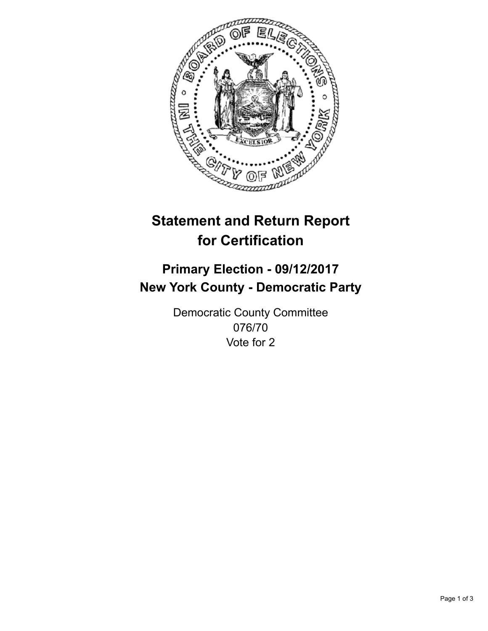

## **Statement and Return Report for Certification**

## **Primary Election - 09/12/2017 New York County - Democratic Party**

Democratic County Committee 076/70 Vote for 2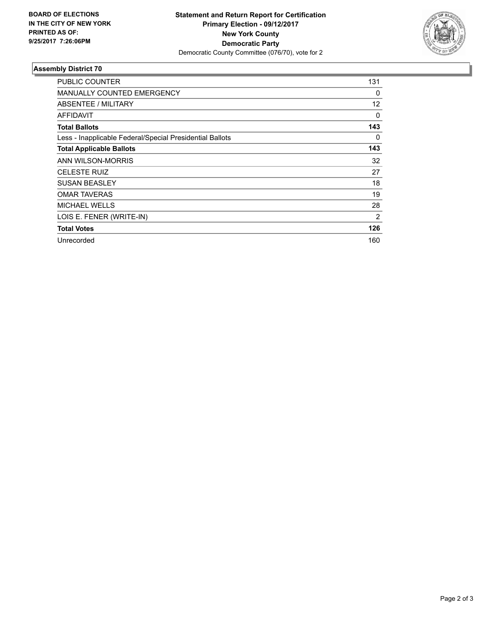

## **Assembly District 70**

| PUBLIC COUNTER                                           | 131 |
|----------------------------------------------------------|-----|
| <b>MANUALLY COUNTED EMERGENCY</b>                        | 0   |
| ABSENTEE / MILITARY                                      | 12  |
| <b>AFFIDAVIT</b>                                         | 0   |
| <b>Total Ballots</b>                                     | 143 |
| Less - Inapplicable Federal/Special Presidential Ballots | 0   |
| <b>Total Applicable Ballots</b>                          | 143 |
| ANN WILSON-MORRIS                                        | 32  |
| <b>CELESTE RUIZ</b>                                      | 27  |
| <b>SUSAN BEASLEY</b>                                     | 18  |
| <b>OMAR TAVERAS</b>                                      | 19  |
| <b>MICHAEL WELLS</b>                                     | 28  |
| LOIS E. FENER (WRITE-IN)                                 | 2   |
| <b>Total Votes</b>                                       | 126 |
| Unrecorded                                               | 160 |